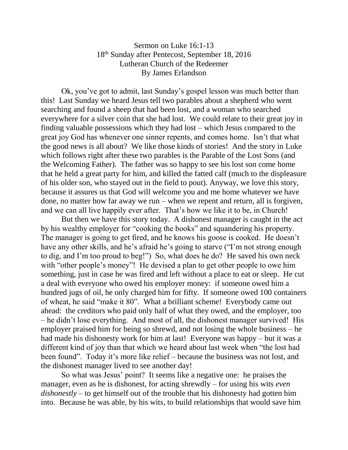## Sermon on Luke 16:1-13 18th Sunday after Pentecost, September 18, 2016 Lutheran Church of the Redeemer By James Erlandson

Ok, you've got to admit, last Sunday's gospel lesson was much better than this! Last Sunday we heard Jesus tell two parables about a shepherd who went searching and found a sheep that had been lost, and a woman who searched everywhere for a silver coin that she had lost. We could relate to their great joy in finding valuable possessions which they had lost – which Jesus compared to the great joy God has whenever one sinner repents, and comes home. Isn't that what the good news is all about? We like those kinds of stories! And the story in Luke which follows right after these two parables is the Parable of the Lost Sons (and the Welcoming Father). The father was so happy to see his lost son come home that he held a great party for him, and killed the fatted calf (much to the displeasure of his older son, who stayed out in the field to pout). Anyway, we love this story, because it assures us that God will welcome you and me home whatever we have done, no matter how far away we run – when we repent and return, all is forgiven, and we can all live happily ever after. That's how we like it to be, in Church!

But then we have this story today. A dishonest manager is caught in the act by his wealthy employer for "cooking the books" and squandering his property. The manager is going to get fired, and he knows his goose is cooked. He doesn't have any other skills, and he's afraid he's going to starve ("I'm not strong enough to dig, and I'm too proud to beg!") So, what does he do? He saved his own neck with "other people's money"! He devised a plan to get other people to owe him something, just in case he was fired and left without a place to eat or sleep. He cut a deal with everyone who owed his employer money: if someone owed him a hundred jugs of oil, he only charged him for fifty. If someone owed 100 containers of wheat, he said "make it 80". What a brilliant scheme! Everybody came out ahead: the creditors who paid only half of what they owed, and the employer, too – he didn't lose everything. And most of all, the dishonest manager survived! His employer praised him for being so shrewd, and not losing the whole business – he had made his dishonesty work for him at last! Everyone was happy – but it was a different kind of joy than that which we heard about last week when "the lost had been found". Today it's more like relief – because the business was not lost, and the dishonest manager lived to see another day!

So what was Jesus' point? It seems like a negative one: he praises the manager, even as he is dishonest, for acting shrewdly – for using his wits *even dishonestly* – to get himself out of the trouble that his dishonesty had gotten him into. Because he was able, by his wits, to build relationships that would save him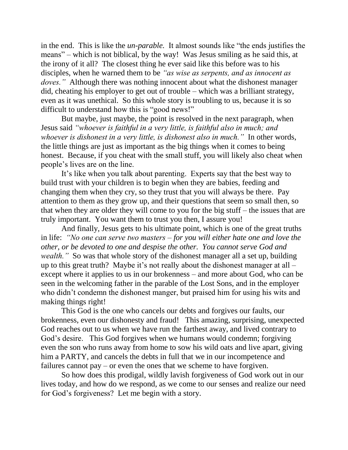in the end. This is like the *un-parable.* It almost sounds like "the ends justifies the means" – which is not biblical, by the way! Was Jesus smiling as he said this, at the irony of it all? The closest thing he ever said like this before was to his disciples, when he warned them to be *"as wise as serpents, and as innocent as doves."* Although there was nothing innocent about what the dishonest manager did, cheating his employer to get out of trouble – which was a brilliant strategy, even as it was unethical. So this whole story is troubling to us, because it is so difficult to understand how this is "good news!"

But maybe, just maybe, the point is resolved in the next paragraph, when Jesus said *"whoever is faithful in a very little, is faithful also in much; and whoever is dishonest in a very little, is dishonest also in much."* In other words, the little things are just as important as the big things when it comes to being honest. Because, if you cheat with the small stuff, you will likely also cheat when people's lives are on the line.

It's like when you talk about parenting. Experts say that the best way to build trust with your children is to begin when they are babies, feeding and changing them when they cry, so they trust that you will always be there. Pay attention to them as they grow up, and their questions that seem so small then, so that when they are older they will come to you for the big stuff – the issues that are truly important. You want them to trust you then, I assure you!

And finally, Jesus gets to his ultimate point, which is one of the great truths in life: *"No one can serve two masters – for you will either hate one and love the other, or be devoted to one and despise the other. You cannot serve God and wealth.*" So was that whole story of the dishonest manager all a set up, building up to this great truth? Maybe it's not really about the dishonest manager at all – except where it applies to us in our brokenness – and more about God, who can be seen in the welcoming father in the parable of the Lost Sons, and in the employer who didn't condemn the dishonest manger, but praised him for using his wits and making things right!

This God is the one who cancels our debts and forgives our faults, our brokenness, even our dishonesty and fraud! This amazing, surprising, unexpected God reaches out to us when we have run the farthest away, and lived contrary to God's desire. This God forgives when we humans would condemn; forgiving even the son who runs away from home to sow his wild oats and live apart, giving him a PARTY, and cancels the debts in full that we in our incompetence and failures cannot pay – or even the ones that we scheme to have forgiven.

So how does this prodigal, wildly lavish forgiveness of God work out in our lives today, and how do we respond, as we come to our senses and realize our need for God's forgiveness? Let me begin with a story.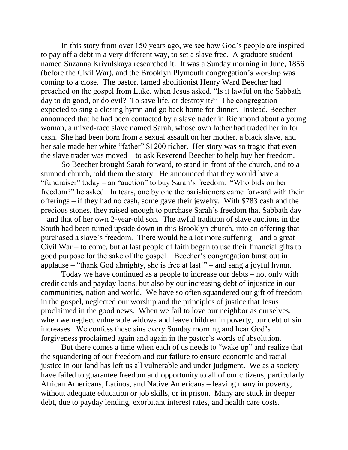In this story from over 150 years ago, we see how God's people are inspired to pay off a debt in a very different way, to set a slave free. A graduate student named Suzanna Krivulskaya researched it. It was a Sunday morning in June, 1856 (before the Civil War), and the Brooklyn Plymouth congregation's worship was coming to a close. The pastor, famed abolitionist Henry Ward Beecher had preached on the gospel from Luke, when Jesus asked, "Is it lawful on the Sabbath day to do good, or do evil? To save life, or destroy it?" The congregation expected to sing a closing hymn and go back home for dinner. Instead, Beecher announced that he had been contacted by a slave trader in Richmond about a young woman, a mixed-race slave named Sarah, whose own father had traded her in for cash. She had been born from a sexual assault on her mother, a black slave, and her sale made her white "father" \$1200 richer. Her story was so tragic that even the slave trader was moved – to ask Reverend Beecher to help buy her freedom.

So Beecher brought Sarah forward, to stand in front of the church, and to a stunned church, told them the story. He announced that they would have a "fundraiser" today – an "auction" to buy Sarah's freedom. "Who bids on her freedom?" he asked. In tears, one by one the parishioners came forward with their offerings – if they had no cash, some gave their jewelry. With \$783 cash and the precious stones, they raised enough to purchase Sarah's freedom that Sabbath day – and that of her own 2-year-old son. The awful tradition of slave auctions in the South had been turned upside down in this Brooklyn church, into an offering that purchased a slave's freedom. There would be a lot more suffering – and a great Civil War – to come, but at last people of faith began to use their financial gifts to good purpose for the sake of the gospel. Beecher's congregation burst out in applause – "thank God almighty, she is free at last!" – and sang a joyful hymn.

Today we have continued as a people to increase our debts – not only with credit cards and payday loans, but also by our increasing debt of injustice in our communities, nation and world. We have so often squandered our gift of freedom in the gospel, neglected our worship and the principles of justice that Jesus proclaimed in the good news. When we fail to love our neighbor as ourselves, when we neglect vulnerable widows and leave children in poverty, our debt of sin increases. We confess these sins every Sunday morning and hear God's forgiveness proclaimed again and again in the pastor's words of absolution.

But there comes a time when each of us needs to "wake up" and realize that the squandering of our freedom and our failure to ensure economic and racial justice in our land has left us all vulnerable and under judgment. We as a society have failed to guarantee freedom and opportunity to all of our citizens, particularly African Americans, Latinos, and Native Americans – leaving many in poverty, without adequate education or job skills, or in prison. Many are stuck in deeper debt, due to payday lending, exorbitant interest rates, and health care costs.